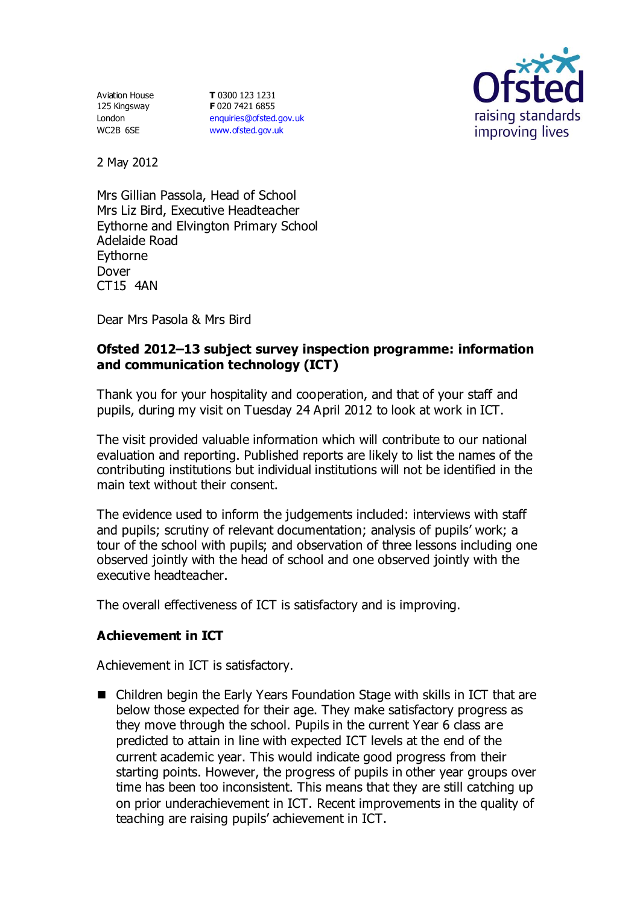Aviation House 125 Kingsway London WC2B 6SE

**T** 0300 123 1231 **F** 020 7421 6855 [enquiries@ofsted.gov.uk](mailto:enquiries@ofsted.gov.uk) [www.ofsted.gov.uk](http://www.ofsted.gov.uk/)



2 May 2012

Mrs Gillian Passola, Head of School Mrs Liz Bird, Executive Headteacher Eythorne and Elvington Primary School Adelaide Road Eythorne Dover CT15 4AN

Dear Mrs Pasola & Mrs Bird

### **Ofsted 2012–13 subject survey inspection programme: information and communication technology (ICT)**

Thank you for your hospitality and cooperation, and that of your staff and pupils, during my visit on Tuesday 24 April 2012 to look at work in ICT.

The visit provided valuable information which will contribute to our national evaluation and reporting. Published reports are likely to list the names of the contributing institutions but individual institutions will not be identified in the main text without their consent.

The evidence used to inform the judgements included: interviews with staff and pupils; scrutiny of relevant documentation; analysis of pupils' work; a tour of the school with pupils; and observation of three lessons including one observed jointly with the head of school and one observed jointly with the executive headteacher.

The overall effectiveness of ICT is satisfactory and is improving.

## **Achievement in ICT**

Achievement in ICT is satisfactory.

■ Children begin the Early Years Foundation Stage with skills in ICT that are below those expected for their age. They make satisfactory progress as they move through the school. Pupils in the current Year 6 class are predicted to attain in line with expected ICT levels at the end of the current academic year. This would indicate good progress from their starting points. However, the progress of pupils in other year groups over time has been too inconsistent. This means that they are still catching up on prior underachievement in ICT. Recent improvements in the quality of teaching are raising pupils' achievement in ICT.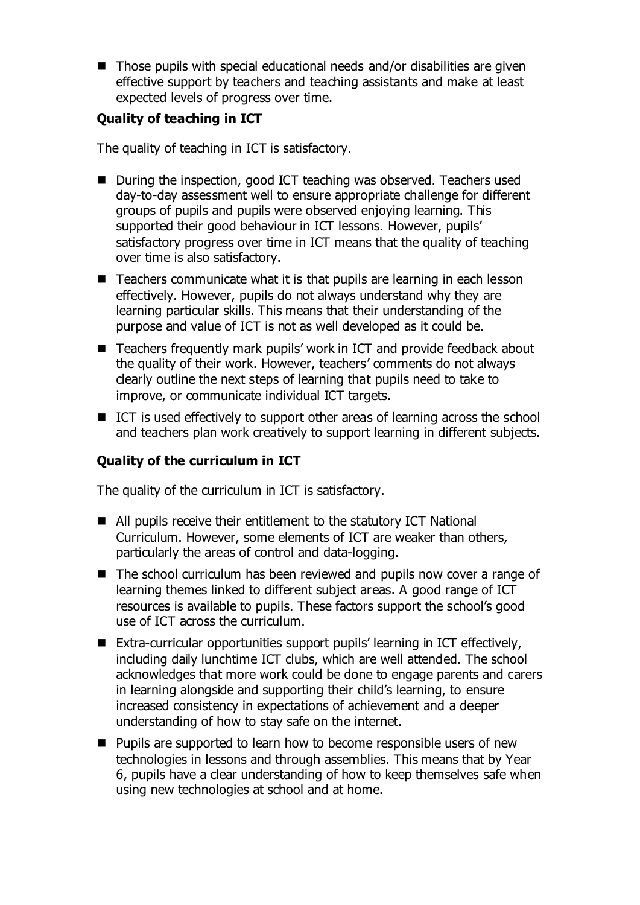$\blacksquare$  Those pupils with special educational needs and/or disabilities are given effective support by teachers and teaching assistants and make at least expected levels of progress over time.

## **Quality of teaching in ICT**

The quality of teaching in ICT is satisfactory.

- During the inspection, good ICT teaching was observed. Teachers used day-to-day assessment well to ensure appropriate challenge for different groups of pupils and pupils were observed enjoying learning. This supported their good behaviour in ICT lessons. However, pupils' satisfactory progress over time in ICT means that the quality of teaching over time is also satisfactory.
- Teachers communicate what it is that pupils are learning in each lesson effectively. However, pupils do not always understand why they are learning particular skills. This means that their understanding of the purpose and value of ICT is not as well developed as it could be.
- Teachers frequently mark pupils' work in ICT and provide feedback about the quality of their work. However, teachers' comments do not always clearly outline the next steps of learning that pupils need to take to improve, or communicate individual ICT targets.
- ICT is used effectively to support other areas of learning across the school and teachers plan work creatively to support learning in different subjects.

# **Quality of the curriculum in ICT**

The quality of the curriculum in ICT is satisfactory.

- All pupils receive their entitlement to the statutory ICT National Curriculum. However, some elements of ICT are weaker than others, particularly the areas of control and data-logging.
- The school curriculum has been reviewed and pupils now cover a range of learning themes linked to different subject areas. A good range of ICT resources is available to pupils. These factors support the school's good use of ICT across the curriculum.
- Extra-curricular opportunities support pupils' learning in ICT effectively, including daily lunchtime ICT clubs, which are well attended. The school acknowledges that more work could be done to engage parents and carers in learning alongside and supporting their child's learning, to ensure increased consistency in expectations of achievement and a deeper understanding of how to stay safe on the internet.
- **Pupils are supported to learn how to become responsible users of new** technologies in lessons and through assemblies. This means that by Year 6, pupils have a clear understanding of how to keep themselves safe when using new technologies at school and at home.